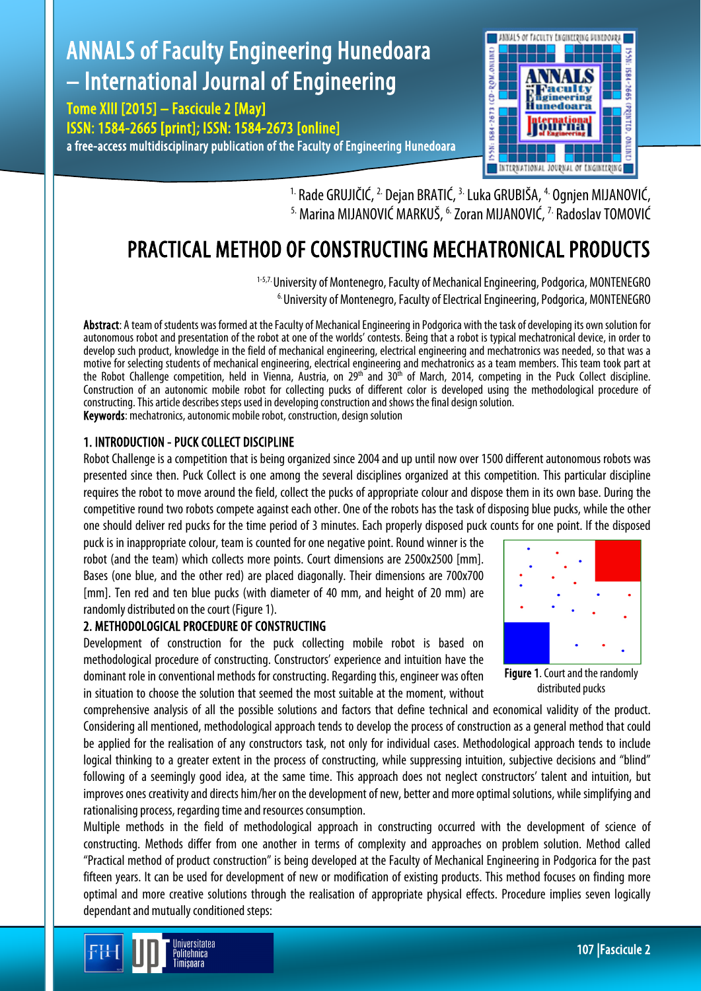# ANNALS of Faculty Engineering Hunedoara – International Journal of Engineering

Tome XIII [2015] – Fascicule 2 [May] ISSN: 1584-2665 [print]; ISSN: 1584-2673 [online] a free-access multidisciplinary publication of the Faculty of Engineering Hunedoara



<sup>1.</sup> Rade GRUJIČIĆ, <sup>2.</sup> Dejan BRATIĆ, <sup>3.</sup> Luka GRUBIŠA, <sup>4.</sup> Ognjen MIJANOVIĆ, <sup>5.</sup> Marina MIJANOVIĆ MARKUŠ, <sup>6.</sup> Zoran MIJANOVIĆ, <sup>7.</sup> Radoslav TOMOVIĆ

## PRACTICAL METHOD OF CONSTRUCTING MECHATRONICAL PRODUCTS

<sup>1-5,7.</sup> University of Montenegro, Faculty of Mechanical Engineering, Podgorica, MONTENEGRO <sup>6.</sup> University of Montenegro, Faculty of Electrical Engineering, Podgorica, MONTENEGRO

Abstract: A team of students was formed at the Faculty of Mechanical Engineering in Podgorica with the task of developing its own solution for autonomous robot and presentation of the robot at one of the worlds' contests. Being that a robot is typical mechatronical device, in order to develop such product, knowledge in the field of mechanical engineering, electrical engineering and mechatronics was needed, so that was a motive for selecting students of mechanical engineering, electrical engineering and mechatronics as a team members. This team took part at the Robot Challenge competition, held in Vienna, Austria, on 29<sup>th</sup> and 30<sup>th</sup> of March, 2014, competing in the Puck Collect discipline. Construction of an autonomic mobile robot for collecting pucks of different color is developed using the methodological procedure of constructing. This article describes steps used in developing construction and shows the final design solution. **Keywords:** mechatronics, autonomic mobile robot, construction, design solution

1. INTRODUCTION - PUCK COLLECT DISCIPLINE

Robot Challenge is a competition that is being organized since 2004 and up until now over 1500 different autonomous robots was presented since then. Puck Collect is one among the several disciplines organized at this competition. This particular discipline requires the robot to move around the field, collect the pucks of appropriate colour and dispose them in its own base. During the competitive round two robots compete against each other. One of the robots has the task of disposing blue pucks, while the other one should deliver red pucks for the time period of 3 minutes. Each properly disposed puck counts for one point. If the disposed

puck is in inappropriate colour, team is counted for one negative point. Round winner is the robot (and the team) which collects more points. Court dimensions are 2500x2500 [mm]. Bases (one blue, and the other red) are placed diagonally. Their dimensions are 700x700 [mm]. Ten red and ten blue pucks (with diameter of 40 mm, and height of 20 mm) are randomly distributed on the court (Figure 1).

## 2. METHODOLOGICAL PROCEDURE OF CONSTRUCTING

Development of construction for the puck collecting mobile robot is based on methodological procedure of constructing. Constructors' experience and intuition have the dominant role in conventional methods for constructing. Regarding this, engineer was often in situation to choose the solution that seemed the most suitable at the moment, without

Figure 1. Court and the randomly distributed pucks

comprehensive analysis of all the possible solutions and factors that define technical and economical validity of the product. Considering all mentioned, methodological approach tends to develop the process of construction as a general method that could be applied for the realisation of any constructors task, not only for individual cases. Methodological approach tends to include logical thinking to a greater extent in the process of constructing, while suppressing intuition, subjective decisions and "blind" following of a seemingly good idea, at the same time. This approach does not neglect constructors' talent and intuition, but improves ones creativity and directs him/her on the development of new, better and more optimal solutions, while simplifying and rationalising process, regarding time and resources consumption.

Multiple methods in the field of methodological approach in constructing occurred with the development of science of constructing. Methods differ from one another in terms of complexity and approaches on problem solution. Method called "Practical method of product construction" is being developed at the Faculty of Mechanical Engineering in Podgorica for the past fifteen years. It can be used for development of new or modification of existing products. This method focuses on finding more optimal and more creative solutions through the realisation of appropriate physical effects. Procedure implies seven logically dependant and mutually conditioned steps:

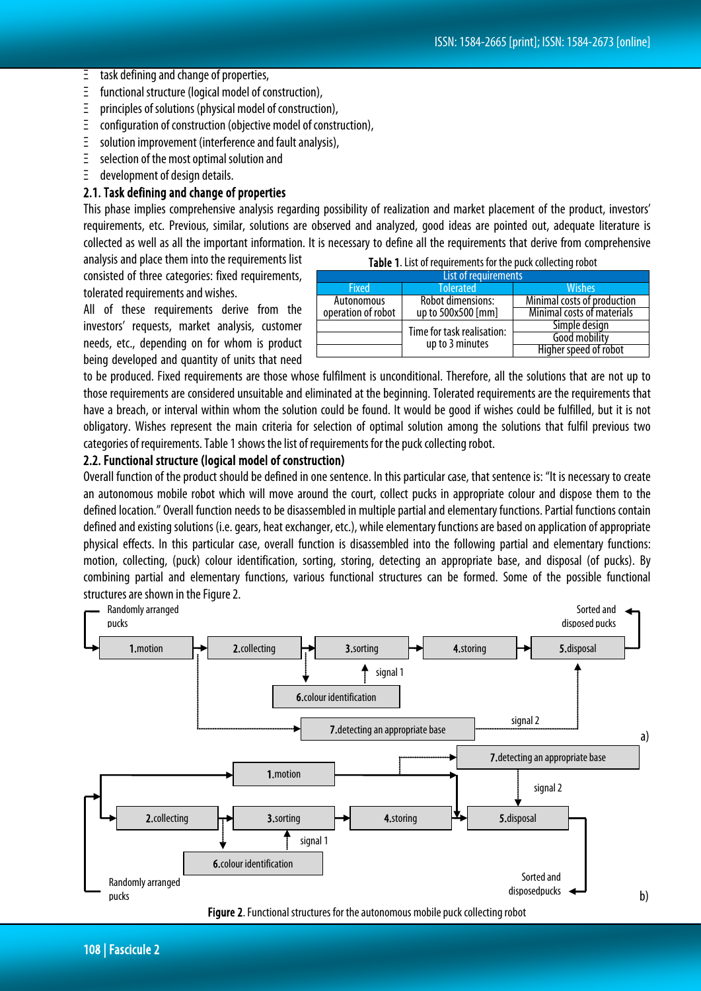- Ξ task defining and change of properties,
- Ξ functional structure (logical model of construction),
- Ξ principles of solutions (physical model of construction),
- Ξ configuration of construction (objective model of construction),
- Ξ solution improvement (interference and fault analysis),
- Ξ selection of the most optimal solution and
- Ξ development of design details.

#### 2.1. Task defining and change of properties

This phase implies comprehensive analysis regarding possibility of realization and market placement of the product, investors' requirements, etc. Previous, similar, solutions are observed and analyzed, good ideas are pointed out, adequate literature is collected as well as all the important information. It is necessary to define all the requirements that derive from comprehensive

analysis and place them into the requirements list consisted of three categories: fixed requirements, tolerated requirements and wishes.

All of these requirements derive from the investors' requests, market analysis, customer needs, etc., depending on for whom is product being developed and quantity of units that need

| Table 1. List of requirements for the puck collecting robot |                                               |                             |  |
|-------------------------------------------------------------|-----------------------------------------------|-----------------------------|--|
| List of requirements                                        |                                               |                             |  |
| <b>Fixed</b>                                                | <b>Tolerated</b>                              | Wishes                      |  |
| Autonomous                                                  | Robot dimensions:                             | Minimal costs of production |  |
| operation of robot                                          | up to 500x500 [mm]                            | Minimal costs of materials  |  |
|                                                             | Time for task realisation:<br>up to 3 minutes | Simple design               |  |
|                                                             |                                               | Good mobility               |  |
|                                                             |                                               | Higher speed of robot       |  |

to be produced. Fixed requirements are those whose fulfilment is unconditional. Therefore, all the solutions that are not up to those requirements are considered unsuitable and eliminated at the beginning. Tolerated requirements are the requirements that have a breach, or interval within whom the solution could be found. It would be good if wishes could be fulfilled, but it is not obligatory. Wishes represent the main criteria for selection of optimal solution among the solutions that fulfil previous two categories of requirements. Table 1 shows the list of requirements for the puck collecting robot.

#### 2.2. Functional structure (logical model of construction)

Overall function of the product should be defined in one sentence. In this particular case, that sentence is: "It is necessary to create an autonomous mobile robot which will move around the court, collect pucks in appropriate colour and dispose them to the defined location." Overall function needs to be disassembled in multiple partial and elementary functions. Partial functions contain defined and existing solutions (i.e. gears, heat exchanger, etc.), while elementary functions are based on application of appropriate physical effects. In this particular case, overall function is disassembled into the following partial and elementary functions: motion, collecting, (puck) colour identification, sorting, storing, detecting an appropriate base, and disposal (of pucks). By combining partial and elementary functions, various functional structures can be formed. Some of the possible functional structures are shown in the Figure 2.



108 | Fascicule 2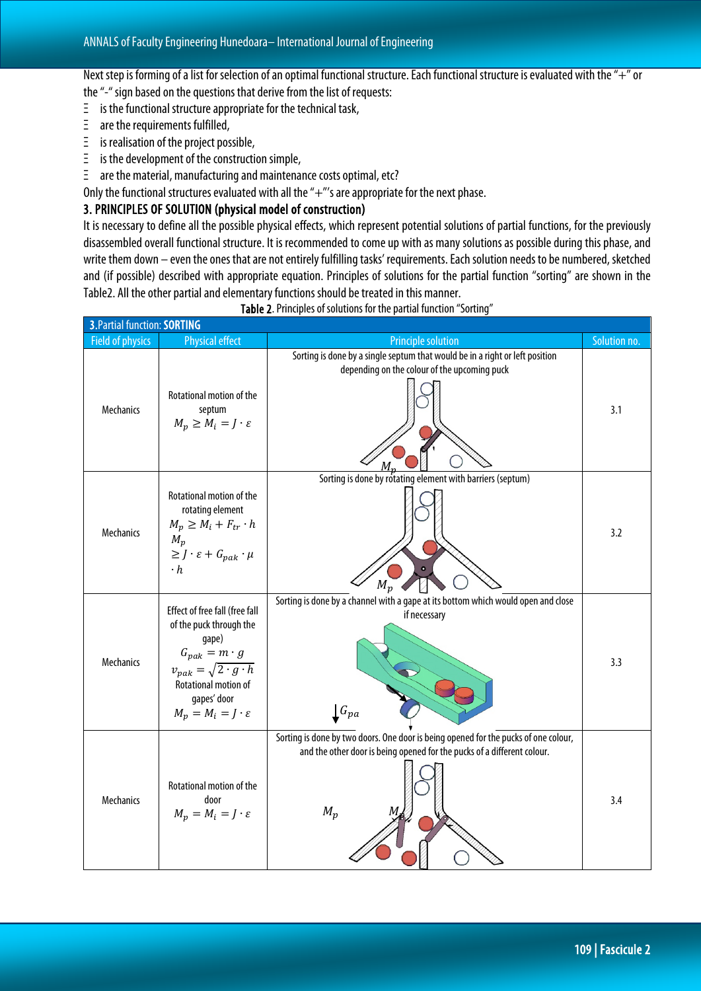Next step is forming of a list for selection of an optimal functional structure. Each functional structure is evaluated with the "+" or the "-" sign based on the questions that derive from the list of requests:

- Ξ is the functional structure appropriate for the technical task,
- $\bar{z}$  are the requirements fulfilled,
- Ξ is realisation of the project possible,
- Ξ is the development of the construction simple,
- Ξ are the material, manufacturing and maintenance costs optimal, etc?

Only the functional structures evaluated with all the "+"'s are appropriate for the next phase.

#### 3. PRINCIPLES OF SOLUTION (physical model of construction)

It is necessary to define all the possible physical effects, which represent potential solutions of partial functions, for the previously disassembled overall functional structure. It is recommended to come up with as many solutions as possible during this phase, and write them down – even the ones that are not entirely fulfilling tasks' requirements. Each solution needs to be numbered, sketched and (if possible) described with appropriate equation. Principles of solutions for the partial function "sorting" are shown in the Table2. All the other partial and elementary functions should be treated in this manner.

| 3. Partial function: SORTING |                                                                                                                                                                                                                 |                                                                                                                                                                         |              |
|------------------------------|-----------------------------------------------------------------------------------------------------------------------------------------------------------------------------------------------------------------|-------------------------------------------------------------------------------------------------------------------------------------------------------------------------|--------------|
| <b>Field of physics</b>      | <b>Physical effect</b>                                                                                                                                                                                          | <b>Principle solution</b>                                                                                                                                               | Solution no. |
| Mechanics                    | Rotational motion of the<br>septum<br>$M_p \geq M_i = J \cdot \varepsilon$                                                                                                                                      | Sorting is done by a single septum that would be in a right or left position<br>depending on the colour of the upcoming puck                                            | 3.1          |
| Mechanics                    | Rotational motion of the<br>rotating element<br>$M_p \geq M_i + F_{tr} \cdot h$<br>$M_p$<br>$\geq J\cdot \varepsilon + G_{pak}\cdot \mu$<br>$\cdot h$                                                           | Sorting is done by rotating element with barriers (septum)<br>$M_{\mathcal{D}}$                                                                                         | 3.2          |
| Mechanics                    | Effect of free fall (free fall<br>of the puck through the<br>gape)<br>$G_{pak} = m \cdot g$<br>$v_{pak} = \sqrt{2 \cdot g \cdot h}$<br>Rotational motion of<br>gapes' door<br>$M_p = M_i = J \cdot \varepsilon$ | Sorting is done by a channel with a gape at its bottom which would open and close<br>if necessary<br>$\mathbf{\int}\mathbf{G}_{pa}$                                     | 3.3          |
| Mechanics                    | Rotational motion of the<br>door<br>$M_p = M_i = J \cdot \varepsilon$                                                                                                                                           | Sorting is done by two doors. One door is being opened for the pucks of one colour,<br>and the other door is being opened for the pucks of a different colour.<br>$M_p$ | 3.4          |

Table 2. Principles of solutions for the partial function "Sorting"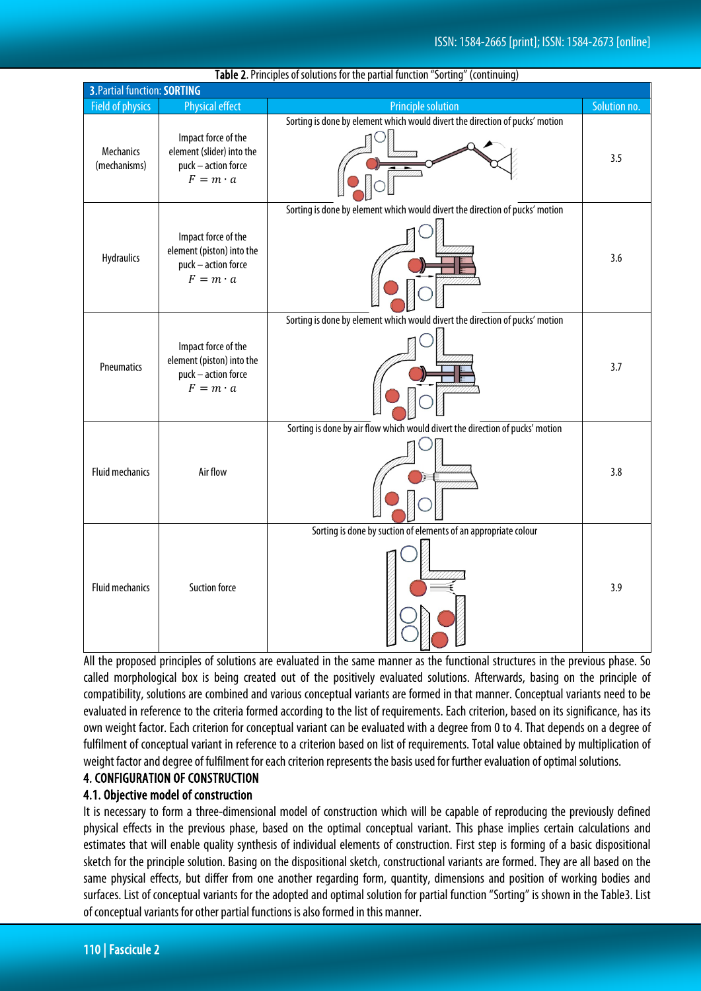| <b>Table 2.</b> Principles of solutions for the partial function solutify (continuing)<br>3. Partial function: SORTING |                                                                                            |                                                                               |              |
|------------------------------------------------------------------------------------------------------------------------|--------------------------------------------------------------------------------------------|-------------------------------------------------------------------------------|--------------|
| <b>Field of physics</b>                                                                                                | Physical effect                                                                            | <b>Principle solution</b>                                                     | Solution no. |
| Mechanics<br>(mechanisms)                                                                                              | Impact force of the<br>element (slider) into the<br>puck - action force<br>$F = m \cdot a$ | Sorting is done by element which would divert the direction of pucks' motion  | 3.5          |
| <b>Hydraulics</b>                                                                                                      | Impact force of the<br>element (piston) into the<br>puck - action force<br>$F = m \cdot a$ | Sorting is done by element which would divert the direction of pucks' motion  | 3.6          |
| Pneumatics                                                                                                             | Impact force of the<br>element (piston) into the<br>puck - action force<br>$F = m \cdot a$ | Sorting is done by element which would divert the direction of pucks' motion  | 3.7          |
| <b>Fluid mechanics</b>                                                                                                 | Air flow                                                                                   | Sorting is done by air flow which would divert the direction of pucks' motion | 3.8          |
| <b>Fluid mechanics</b>                                                                                                 | <b>Suction force</b>                                                                       | Sorting is done by suction of elements of an appropriate colour               | 3.9          |

#### Table 2.Principles of solutions for the partial function "Sorting" (continuing)

All the proposed principles of solutions are evaluated in the same manner as the functional structures in the previous phase. So called morphological box is being created out of the positively evaluated solutions. Afterwards, basing on the principle of compatibility, solutions are combined and various conceptual variants are formed in that manner. Conceptual variants need to be evaluated in reference to the criteria formed according to the list of requirements. Each criterion, based on its significance, has its own weight factor. Each criterion for conceptual variant can be evaluated with a degree from 0 to 4. That depends on a degree of fulfilment of conceptual variant in reference to a criterion based on list of requirements. Total value obtained by multiplication of weight factor and degree of fulfilment for each criterion represents the basis used for further evaluation of optimal solutions.

## 4. CONFIGURATION OF CONSTRUCTION

#### 4.1. Objective model of construction

It is necessary to form a three-dimensional model of construction which will be capable of reproducing the previously defined physical effects in the previous phase, based on the optimal conceptual variant. This phase implies certain calculations and estimates that will enable quality synthesis of individual elements of construction. First step is forming of a basic dispositional sketch for the principle solution. Basing on the dispositional sketch, constructional variants are formed. They are all based on the same physical effects, but differ from one another regarding form, quantity, dimensions and position of working bodies and surfaces. List of conceptual variants for the adopted and optimal solution for partial function "Sorting" is shown in the Table3. List of conceptual variants for other partial functions is also formed in this manner.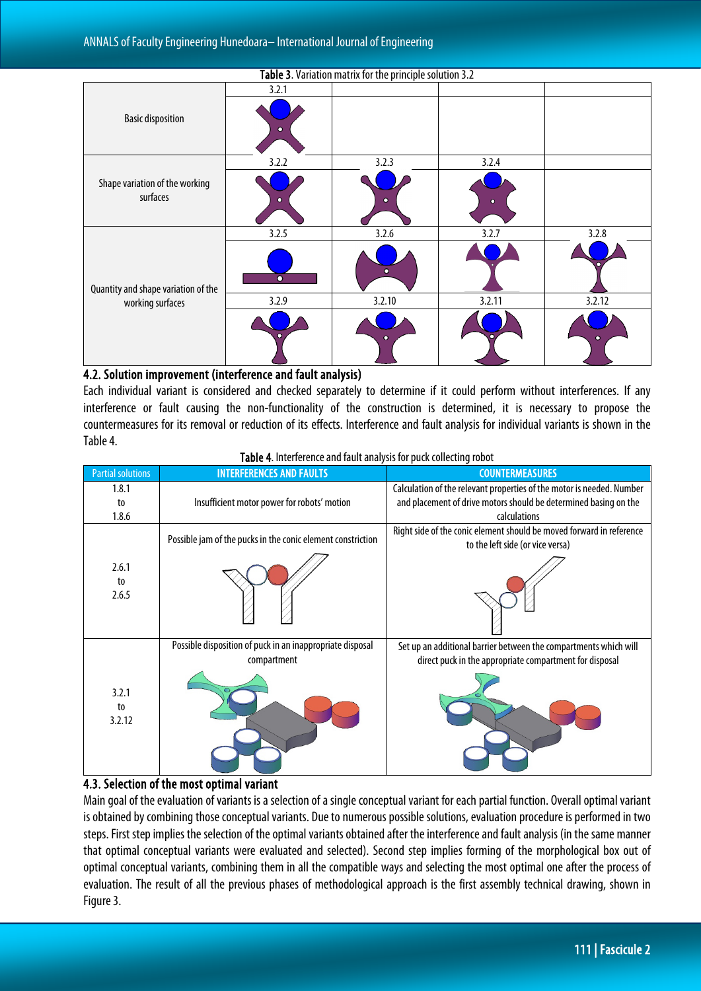| Table 3. Variation matrix for the principle solution 3.2 |           |           |           |           |
|----------------------------------------------------------|-----------|-----------|-----------|-----------|
|                                                          | 3.2.1     |           |           |           |
| <b>Basic disposition</b>                                 | Ω         |           |           |           |
|                                                          | 3.2.2     | 3.2.3     | 3.2.4     |           |
| Shape variation of the working<br>surfaces               | ົ         | ۰         | $\bullet$ |           |
|                                                          | 3.2.5     | 3.2.6     | 3.2.7     | 3.2.8     |
| Quantity and shape variation of the                      | $\bullet$ | $\bullet$ |           |           |
| working surfaces                                         | 3.2.9     | 3.2.10    | 3.2.11    | 3.2.12    |
|                                                          | $\bullet$ | ۰         |           | $\bullet$ |

#### 4.2. Solution improvement (interference and fault analysis)

Each individual variant is considered and checked separately to determine if it could perform without interferences. If any interference or fault causing the non-functionality of the construction is determined, it is necessary to propose the countermeasures for its removal or reduction of its effects. Interference and fault analysis for individual variants is shown in the Table4.

| Table 4. Interference and fault analysis for puck collecting robot |  |  |  |
|--------------------------------------------------------------------|--|--|--|
|--------------------------------------------------------------------|--|--|--|

| <b>Partial solutions</b> | <b>INTERFERENCES AND FAULTS</b>                                          | <b>COUNTERMEASURES</b>                                                                                                                                    |
|--------------------------|--------------------------------------------------------------------------|-----------------------------------------------------------------------------------------------------------------------------------------------------------|
| 1.8.1<br>to<br>1.8.6     | Insufficient motor power for robots' motion                              | Calculation of the relevant properties of the motor is needed. Number<br>and placement of drive motors should be determined basing on the<br>calculations |
| 2.6.1<br>to<br>2.6.5     | Possible jam of the pucks in the conic element constriction              | Right side of the conic element should be moved forward in reference<br>to the left side (or vice versa)                                                  |
| 3.2.1<br>to<br>3.2.12    | Possible disposition of puck in an inappropriate disposal<br>compartment | Set up an additional barrier between the compartments which will<br>direct puck in the appropriate compartment for disposal                               |

## 4.3. Selection of the most optimal variant

Main goal of the evaluation of variants is a selection of a single conceptual variant for each partial function. Overall optimal variant is obtained by combining those conceptual variants. Due to numerous possible solutions, evaluation procedure is performed in two steps.First step implies the selection of the optimal variants obtained after the interference and fault analysis (in the same manner that optimal conceptual variants were evaluated and selected). Second step implies forming of the morphological box out of optimal conceptual variants, combining them in all the compatible ways and selecting the most optimal one after the process of evaluation. The result of all the previous phases of methodological approach is the first assembly technical drawing, shown in Figure 3.